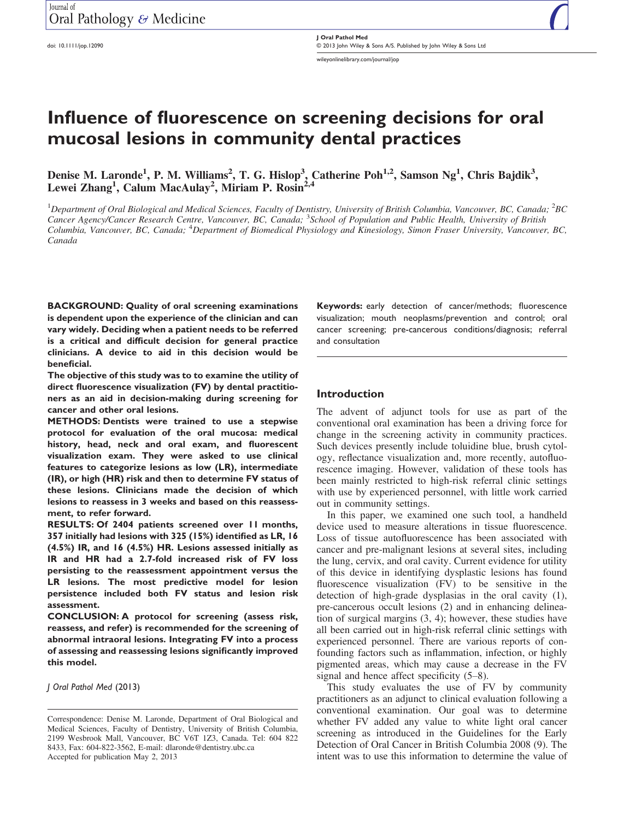doi: 10.1111/jop.12090

J Oral Pathol Med © 2013 John Wiley & Sons A/S. Published by John Wiley & Sons Ltd wileyonlinelibrary.com/journal/jop

# Influence of fluorescence on screening decisions for oral mucosal lesions in community dental practices

Denise M. Laronde<sup>1</sup>, P. M. Williams<sup>2</sup>, T. G. Hislop<sup>3</sup>, Catherine Poh<sup>1,2</sup>, Samson Ng<sup>1</sup>, Chris Bajdik<sup>3</sup>, Lewei Zhang<sup>1</sup>, Calum MacAulay<sup>2</sup>, Miriam P. Rosin<sup>2,4</sup>

<sup>1</sup>Department of Oral Biological and Medical Sciences, Faculty of Dentistry, University of British Columbia, Vancouver, BC, Canada;  $^2$ BC Cancer Agency/Cancer Research Centre, Vancouver, BC, Canada; <sup>3</sup>School of Population and Public Health, University of British Columbia, Vancouver, BC, Canada; <sup>4</sup>Department of Biomedical Physiology and Kinesiology, Simon Fraser University, Vancouver, BC, Canada

BACKGROUND: Quality of oral screening examinations is dependent upon the experience of the clinician and can vary widely. Deciding when a patient needs to be referred is a critical and difficult decision for general practice clinicians. A device to aid in this decision would be beneficial.

The objective of this study was to to examine the utility of direct fluorescence visualization (FV) by dental practitioners as an aid in decision-making during screening for cancer and other oral lesions.

METHODS: Dentists were trained to use a stepwise protocol for evaluation of the oral mucosa: medical history, head, neck and oral exam, and fluorescent visualization exam. They were asked to use clinical features to categorize lesions as low (LR), intermediate (IR), or high (HR) risk and then to determine FV status of these lesions. Clinicians made the decision of which lesions to reassess in 3 weeks and based on this reassessment, to refer forward.

RESULTS: Of 2404 patients screened over 11 months, 357 initially had lesions with 325 (15%) identified as LR, 16 (4.5%) IR, and 16 (4.5%) HR. Lesions assessed initially as IR and HR had a 2.7-fold increased risk of FV loss persisting to the reassessment appointment versus the LR lesions. The most predictive model for lesion persistence included both FV status and lesion risk assessment.

CONCLUSION: A protocol for screening (assess risk, reassess, and refer) is recommended for the screening of abnormal intraoral lesions. Integrating FV into a process of assessing and reassessing lesions significantly improved this model.

J Oral Pathol Med (2013)

Keywords: early detection of cancer/methods; fluorescence visualization; mouth neoplasms/prevention and control; oral cancer screening; pre-cancerous conditions/diagnosis; referral and consultation

## Introduction

The advent of adjunct tools for use as part of the conventional oral examination has been a driving force for change in the screening activity in community practices. Such devices presently include toluidine blue, brush cytology, reflectance visualization and, more recently, autofluorescence imaging. However, validation of these tools has been mainly restricted to high-risk referral clinic settings with use by experienced personnel, with little work carried out in community settings.

In this paper, we examined one such tool, a handheld device used to measure alterations in tissue fluorescence. Loss of tissue autofluorescence has been associated with cancer and pre-malignant lesions at several sites, including the lung, cervix, and oral cavity. Current evidence for utility of this device in identifying dysplastic lesions has found fluorescence visualization (FV) to be sensitive in the detection of high-grade dysplasias in the oral cavity (1), pre-cancerous occult lesions (2) and in enhancing delineation of surgical margins (3, 4); however, these studies have all been carried out in high-risk referral clinic settings with experienced personnel. There are various reports of confounding factors such as inflammation, infection, or highly pigmented areas, which may cause a decrease in the FV signal and hence affect specificity (5–8).

This study evaluates the use of FV by community practitioners as an adjunct to clinical evaluation following a conventional examination. Our goal was to determine whether FV added any value to white light oral cancer screening as introduced in the Guidelines for the Early Detection of Oral Cancer in British Columbia 2008 (9). The intent was to use this information to determine the value of

Correspondence: Denise M. Laronde, Department of Oral Biological and Medical Sciences, Faculty of Dentistry, University of British Columbia, 2199 Wesbrook Mall, Vancouver, BC V6T 1Z3, Canada. Tel: 604 822 8433, Fax: 604-822-3562, E-mail: dlaronde@dentistry.ubc.ca Accepted for publication May 2, 2013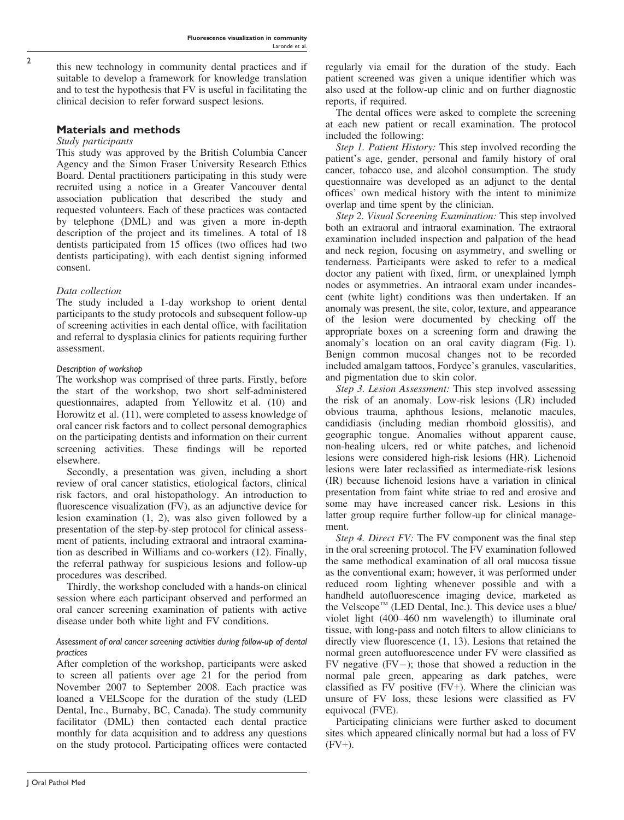this new technology in community dental practices and if suitable to develop a framework for knowledge translation and to test the hypothesis that FV is useful in facilitating the clinical decision to refer forward suspect lesions.

# Materials and methods

## Study participants

This study was approved by the British Columbia Cancer Agency and the Simon Fraser University Research Ethics Board. Dental practitioners participating in this study were recruited using a notice in a Greater Vancouver dental association publication that described the study and requested volunteers. Each of these practices was contacted by telephone (DML) and was given a more in-depth description of the project and its timelines. A total of 18 dentists participated from 15 offices (two offices had two dentists participating), with each dentist signing informed consent.

# Data collection

The study included a 1-day workshop to orient dental participants to the study protocols and subsequent follow-up of screening activities in each dental office, with facilitation and referral to dysplasia clinics for patients requiring further assessment.

# Description of workshop

The workshop was comprised of three parts. Firstly, before the start of the workshop, two short self-administered questionnaires, adapted from Yellowitz et al. (10) and Horowitz et al. (11), were completed to assess knowledge of oral cancer risk factors and to collect personal demographics on the participating dentists and information on their current screening activities. These findings will be reported elsewhere.

Secondly, a presentation was given, including a short review of oral cancer statistics, etiological factors, clinical risk factors, and oral histopathology. An introduction to fluorescence visualization (FV), as an adjunctive device for lesion examination (1, 2), was also given followed by a presentation of the step-by-step protocol for clinical assessment of patients, including extraoral and intraoral examination as described in Williams and co-workers (12). Finally, the referral pathway for suspicious lesions and follow-up procedures was described.

Thirdly, the workshop concluded with a hands-on clinical session where each participant observed and performed an oral cancer screening examination of patients with active disease under both white light and FV conditions.

## Assessment of oral cancer screening activities during follow-up of dental practices

After completion of the workshop, participants were asked to screen all patients over age 21 for the period from November 2007 to September 2008. Each practice was loaned a VELScope for the duration of the study (LED Dental, Inc., Burnaby, BC, Canada). The study community facilitator (DML) then contacted each dental practice monthly for data acquisition and to address any questions on the study protocol. Participating offices were contacted regularly via email for the duration of the study. Each patient screened was given a unique identifier which was also used at the follow-up clinic and on further diagnostic reports, if required.

The dental offices were asked to complete the screening at each new patient or recall examination. The protocol included the following:

Step 1. Patient History: This step involved recording the patient's age, gender, personal and family history of oral cancer, tobacco use, and alcohol consumption. The study questionnaire was developed as an adjunct to the dental offices' own medical history with the intent to minimize overlap and time spent by the clinician.

Step 2. Visual Screening Examination: This step involved both an extraoral and intraoral examination. The extraoral examination included inspection and palpation of the head and neck region, focusing on asymmetry, and swelling or tenderness. Participants were asked to refer to a medical doctor any patient with fixed, firm, or unexplained lymph nodes or asymmetries. An intraoral exam under incandescent (white light) conditions was then undertaken. If an anomaly was present, the site, color, texture, and appearance of the lesion were documented by checking off the appropriate boxes on a screening form and drawing the anomaly's location on an oral cavity diagram (Fig. 1). Benign common mucosal changes not to be recorded included amalgam tattoos, Fordyce's granules, vascularities, and pigmentation due to skin color.

Step 3. Lesion Assessment: This step involved assessing the risk of an anomaly. Low-risk lesions (LR) included obvious trauma, aphthous lesions, melanotic macules, candidiasis (including median rhomboid glossitis), and geographic tongue. Anomalies without apparent cause, non-healing ulcers, red or white patches, and lichenoid lesions were considered high-risk lesions (HR). Lichenoid lesions were later reclassified as intermediate-risk lesions (IR) because lichenoid lesions have a variation in clinical presentation from faint white striae to red and erosive and some may have increased cancer risk. Lesions in this latter group require further follow-up for clinical management.

Step 4. Direct FV: The FV component was the final step in the oral screening protocol. The FV examination followed the same methodical examination of all oral mucosa tissue as the conventional exam; however, it was performed under reduced room lighting whenever possible and with a handheld autofluorescence imaging device, marketed as the Velscope<sup>TM</sup> (LED Dental, Inc.). This device uses a blue/ violet light (400–460 nm wavelength) to illuminate oral tissue, with long-pass and notch filters to allow clinicians to directly view fluorescence (1, 13). Lesions that retained the normal green autofluorescence under FV were classified as FV negative  $(FV-)$ ; those that showed a reduction in the normal pale green, appearing as dark patches, were classified as FV positive (FV+). Where the clinician was unsure of FV loss, these lesions were classified as FV equivocal (FVE).

Participating clinicians were further asked to document sites which appeared clinically normal but had a loss of FV  $(FV+)$ .

2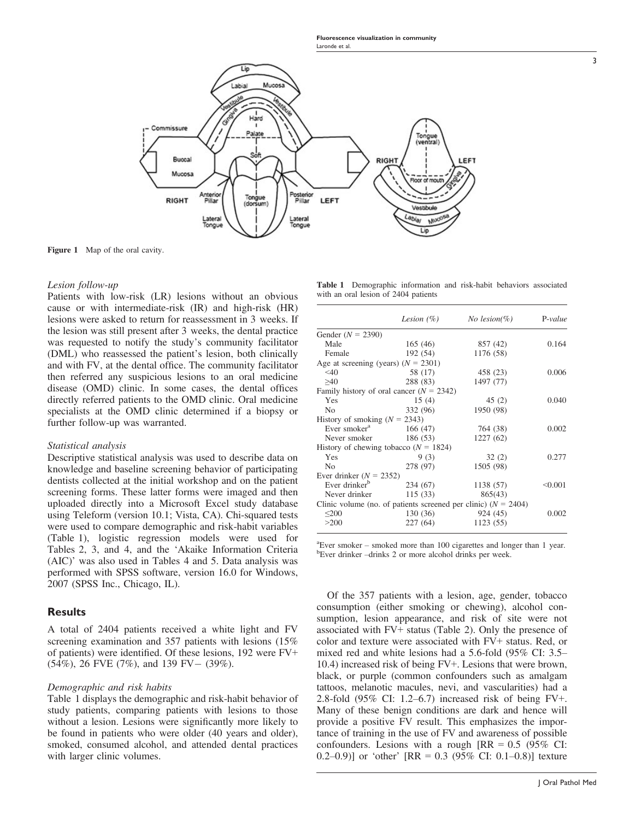Fluorescence visualization in community Laronde et al.



Figure 1 Map of the oral cavity.

#### Lesion follow-up

Patients with low-risk (LR) lesions without an obvious cause or with intermediate-risk (IR) and high-risk (HR) lesions were asked to return for reassessment in 3 weeks. If the lesion was still present after 3 weeks, the dental practice was requested to notify the study's community facilitator (DML) who reassessed the patient's lesion, both clinically and with FV, at the dental office. The community facilitator then referred any suspicious lesions to an oral medicine disease (OMD) clinic. In some cases, the dental offices directly referred patients to the OMD clinic. Oral medicine specialists at the OMD clinic determined if a biopsy or further follow-up was warranted.

#### Statistical analysis

Descriptive statistical analysis was used to describe data on knowledge and baseline screening behavior of participating dentists collected at the initial workshop and on the patient screening forms. These latter forms were imaged and then uploaded directly into a Microsoft Excel study database using Teleform (version 10.1; Vista, CA). Chi-squared tests were used to compare demographic and risk-habit variables (Table 1), logistic regression models were used for Tables 2, 3, and 4, and the 'Akaike Information Criteria (AIC)' was also used in Tables 4 and 5. Data analysis was performed with SPSS software, version 16.0 for Windows, 2007 (SPSS Inc., Chicago, IL).

## **Results**

A total of 2404 patients received a white light and FV screening examination and 357 patients with lesions (15% of patients) were identified. Of these lesions, 192 were FV+  $(54\%)$ , 26 FVE  $(7\%)$ , and 139 FV -  $(39\%)$ .

#### Demographic and risk habits

Table 1 displays the demographic and risk-habit behavior of study patients, comparing patients with lesions to those without a lesion. Lesions were significantly more likely to be found in patients who were older (40 years and older), smoked, consumed alcohol, and attended dental practices with larger clinic volumes.

Table 1 Demographic information and risk-habit behaviors associated with an oral lesion of 2404 patients

|                                            | <i>Lesion</i> $(\%)$ | <i>No lesion</i> $(\%)$                                            | $P-value$ |
|--------------------------------------------|----------------------|--------------------------------------------------------------------|-----------|
| Gender $(N = 2390)$                        |                      |                                                                    |           |
| Male                                       | 165(46)              | 857 (42)                                                           | 0.164     |
| Female                                     | 192 (54)             | 1176 (58)                                                          |           |
| Age at screening (years) $(N = 2301)$      |                      |                                                                    |           |
| $<$ 40                                     | 58 (17)              | 458 (23)                                                           | 0.006     |
| >40                                        | 288 (83)             | 1497 (77)                                                          |           |
| Family history of oral cancer $(N = 2342)$ |                      |                                                                    |           |
| Yes                                        | 15(4)                | 45(2)                                                              | 0.040     |
| No.                                        | 332 (96)             | 1950 (98)                                                          |           |
| History of smoking $(N = 2343)$            |                      |                                                                    |           |
| Ever smoker <sup>a</sup>                   | 166 (47)             | 764 (38)                                                           | 0.002     |
| Never smoker                               | 186 (53)             | 1227(62)                                                           |           |
| History of chewing tobacco ( $N = 1824$ )  |                      |                                                                    |           |
| Yes                                        | 9(3)                 | 32(2)                                                              | 0.277     |
| N <sub>0</sub>                             | 278 (97)             | 1505 (98)                                                          |           |
| Ever drinker $(N = 2352)$                  |                      |                                                                    |           |
| Ever drinker <sup>b</sup>                  | 234 (67)             | 1138 (57)                                                          | < 0.001   |
| Never drinker                              | 115(33)              | 865(43)                                                            |           |
|                                            |                      | Clinic volume (no. of patients screened per clinic) ( $N = 2404$ ) |           |
| $\leq 200$                                 | 130 (36)             | 924 (45)                                                           | 0.002     |
| >200                                       | 227(64)              | 1123 (55)                                                          |           |

<sup>a</sup> Ever smoker – smoked more than 100 cigarettes and longer than 1 year. <sup>b</sup>Ever drinker –drinks 2 or more alcohol drinks per week.

Of the 357 patients with a lesion, age, gender, tobacco consumption (either smoking or chewing), alcohol consumption, lesion appearance, and risk of site were not associated with FV+ status (Table 2). Only the presence of color and texture were associated with FV+ status. Red, or mixed red and white lesions had a 5.6-fold (95% CI: 3.5– 10.4) increased risk of being FV+. Lesions that were brown, black, or purple (common confounders such as amalgam tattoos, melanotic macules, nevi, and vascularities) had a 2.8-fold (95% CI: 1.2–6.7) increased risk of being FV+. Many of these benign conditions are dark and hence will provide a positive FV result. This emphasizes the importance of training in the use of FV and awareness of possible confounders. Lesions with a rough  $[RR = 0.5 (95\% \text{ CI}]$ : 0.2–0.9)] or 'other'  $[RR = 0.3 (95\% \text{ CI: } 0.1{\text{-}}0.8)]$  texture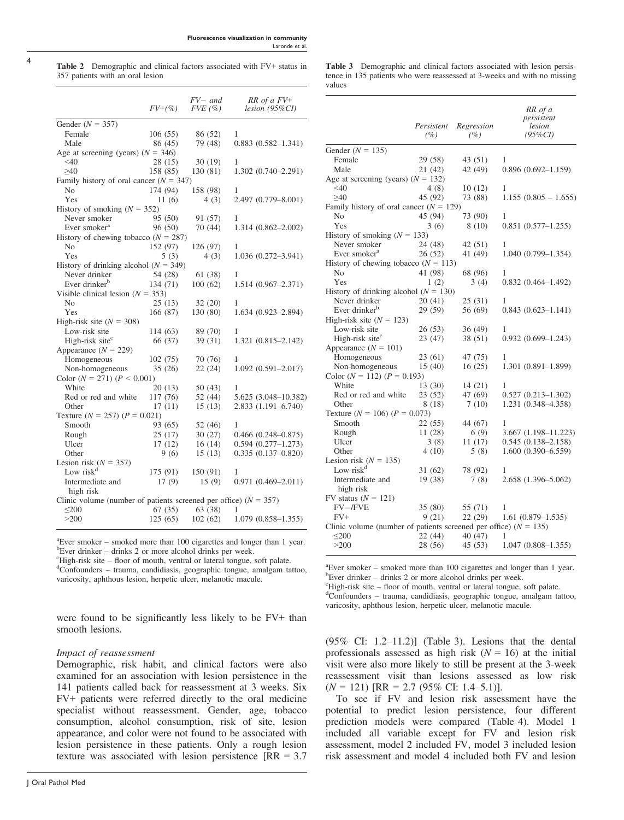4

Table 2 Demographic and clinical factors associated with FV+ status in 357 patients with an oral lesion

|                                                                    | $FV+(%)$ | $FV-$ and<br>$FVE$ (%) | $RR$ of a $FV^+$<br>$lesion (95\%CI)$ |
|--------------------------------------------------------------------|----------|------------------------|---------------------------------------|
| Gender ( $N = 357$ )                                               |          |                        |                                       |
| Female                                                             | 106(55)  | 86 (52)                | 1                                     |
| Male                                                               | 86 (45)  | 79 (48)                | $0.883(0.582 - 1.341)$                |
| Age at screening (years) $(N = 346)$                               |          |                        |                                       |
| $<$ 40                                                             | 28(15)   | 30(19)                 | 1                                     |
| >40                                                                | 158 (85) | 130 (81)               | $1.302(0.740 - 2.291)$                |
| Family history of oral cancer ( $N = 347$ )                        |          |                        |                                       |
| N <sub>0</sub>                                                     | 174 (94) | 158 (98)               | 1                                     |
| Yes                                                                | 11(6)    | 4(3)                   | 2.497 (0.779-8.001)                   |
| History of smoking $(N = 352)$                                     |          |                        |                                       |
| Never smoker                                                       | 95 (50)  | 91 (57)                | 1                                     |
| Ever smoker <sup>a</sup>                                           | 96 (50)  | 70(44)                 | $1.314(0.862 - 2.002)$                |
| History of chewing tobacco ( $N = 287$ )                           |          |                        |                                       |
| No                                                                 | 152 (97) | 126 (97)               | 1                                     |
| Yes                                                                | 5(3)     | 4(3)                   | $1.036(0.272 - 3.941)$                |
| History of drinking alcohol ( $N = 349$ )                          |          |                        |                                       |
| Never drinker                                                      | 54 (28)  | 61 (38)                | 1                                     |
| Ever drinker <sup>b</sup>                                          | 134 (71) | 100(62)                | $1.514(0.967 - 2.371)$                |
| Visible clinical lesion ( $N = 353$ )                              |          |                        |                                       |
| No                                                                 | 25(13)   | 32 (20)                | 1                                     |
| Yes                                                                | 166 (87) | 130 (80)               | 1.634 (0.923-2.894)                   |
| High-risk site $(N = 308)$                                         |          |                        |                                       |
| Low-risk site                                                      | 114 (63) | 89 (70)                | 1                                     |
| High-risk site <sup>c</sup>                                        | 66 (37)  | 39 (31)                | $1.321(0.815 - 2.142)$                |
| Appearance $(N = 229)$                                             |          |                        |                                       |
| Homogeneous                                                        | 102(75)  | 70 (76)                | 1                                     |
| Non-homogeneous                                                    | 35(26)   | 22(24)                 | $1.092(0.591 - 2.017)$                |
| Color $(N = 271)$ $(P < 0.001)$                                    |          |                        |                                       |
| White                                                              | 20(13)   | 50(43)                 | 1                                     |
| Red or red and white                                               | 117 (76) | 52(44)                 | 5.625 (3.048-10.382)                  |
| Other                                                              | 17(11)   | 15(13)                 | $2.833(1.191 - 6.740)$                |
| Texture $(N = 257)$ $(P = 0.021)$                                  |          |                        |                                       |
| Smooth                                                             | 93 (65)  | 52 (46)                | 1                                     |
| Rough                                                              | 25(17)   | 30(27)                 | $0.466(0.248 - 0.875)$                |
| Ulcer                                                              | 17(12)   | 16(14)                 | $0.594(0.277 - 1.273)$                |
| Other                                                              | 9(6)     | 15(13)                 | $0.335(0.137-0.820)$                  |
| Lesion risk $(N = 357)$                                            |          |                        |                                       |
| Low risk <sup>d</sup>                                              | 175 (91) | 150 (91)               | 1                                     |
| Intermediate and                                                   | 17(9)    | 15(9)                  | $0.971(0.469 - 2.011)$                |
| high risk                                                          |          |                        |                                       |
| Clinic volume (number of patients screened per office) $(N = 357)$ |          |                        |                                       |
| $\leq 200$                                                         | 67(35)   | 63 (38)                | 1                                     |
| >200                                                               |          | $125(65)$ 102(62)      | $1.079(0.858 - 1.355)$                |

<sup>a</sup> Ever smoker – smoked more than 100 cigarettes and longer than 1 year.  $b$ Ever drinker – drinks 2 or more alcohol drinks per week.

 $\mathrm{High\text{-}risk}$  site – floor of mouth, ventral or lateral tongue, soft palate.

Confounders – trauma, candidiasis, geographic tongue, amalgam tattoo, varicosity, aphthous lesion, herpetic ulcer, melanotic macule.

were found to be significantly less likely to be FV+ than smooth lesions.

#### Impact of reassessment

Demographic, risk habit, and clinical factors were also examined for an association with lesion persistence in the 141 patients called back for reassessment at 3 weeks. Six FV+ patients were referred directly to the oral medicine specialist without reassessment. Gender, age, tobacco consumption, alcohol consumption, risk of site, lesion appearance, and color were not found to be associated with lesion persistence in these patients. Only a rough lesion texture was associated with lesion persistence  $[RR = 3.7]$  Table 3 Demographic and clinical factors associated with lesion persistence in 135 patients who were reassessed at 3-weeks and with no missing values

| Gender ( $N = 135$ )<br>Female<br>29 (58)<br>43 (51)<br>1<br>Male<br>21 (42)<br>42 (49)<br>$0.896(0.692 - 1.159)$<br>Age at screening (years) $(N = 132)$<br>$<$ 40<br>4 (8)<br>10(12)<br>1<br>>40<br>45 (92)<br>73 (88)<br>Family history of oral cancer ( $N = 129$ )<br>N <sub>0</sub><br>45 (94)<br>73 (90)<br>1<br>Yes<br>3(6)<br>8(10)<br>$0.851(0.577 - 1.255)$<br>History of smoking $(N = 133)$<br>Never smoker<br>24 (48)<br>42 (51)<br>1<br>Ever smoker <sup>a</sup><br>26 (52)<br>41 (49)<br>$1.040(0.799 - 1.354)$<br>History of chewing tobacco ( $N = 113$ )<br>No<br>41 (98)<br>68 (96)<br>1<br>Yes<br>1(2)<br>3(4)<br>$0.832(0.464 - 1.492)$<br>History of drinking alcohol ( $N = 130$ )<br>Never drinker<br>20(41)<br>25 (31)<br>1<br>Ever drinker <sup>b</sup><br>29 (59)<br>56 (69)<br>$0.843(0.623 - 1.141)$<br>High-risk site $(N = 123)$<br>Low-risk site<br>26 (53)<br>36 (49)<br>1<br>High-risk site <sup>c</sup><br>23 (47)<br>38 (51)<br>$0.932(0.699-1.243)$<br>Appearance $(N = 101)$<br>Homogeneous<br>47 (75)<br>23 (61)<br>1<br>15(40)<br>16(25)<br>Non-homogeneous<br>$1.301(0.891-1.899)$<br>Color ( $N = 112$ ) ( $P = 0.193$ )<br>White<br>13 (30)<br>14 (21)<br>1<br>Red or red and white<br>23 (52)<br>47 (69)<br>$0.527(0.213 - 1.302)$<br>7(10)<br>1.231 (0.348–4.358)<br>Other<br>8 (18)<br>Texture ( $N = 106$ ) ( $P = 0.073$ )<br>Smooth<br>22 (55)<br>44 (67)<br>1<br>11 (28)<br>6(9)<br>$3.667(1.198 - 11.223)$<br>Rough<br>Ulcer<br>$0.545(0.138 - 2.158)$<br>3(8)<br>11 (17)<br>Other<br>5(8)<br>$1.600(0.390 - 6.559)$<br>4(10)<br>Lesion risk $(N = 135)$<br>Low risk <sup>d</sup><br>78 (92)<br>31 (62)<br>1<br>19(38)<br>2.658 (1.396-5.062)<br>Intermediate and<br>7(8)<br>high risk<br>FV status $(N = 121)$<br>FV-/FVE<br>35(80)<br>55 (71)<br>1<br>$FV+$<br>9(21)<br>22(29)<br>$1.61(0.879 - 1.535)$<br>Clinic volume (number of patients screened per office) $(N = 135)$ |       | Persistent<br>(%) | Regression<br>(%) | RR of a<br>persistent<br>lesion<br>$(95\%CI)$ |
|-------------------------------------------------------------------------------------------------------------------------------------------------------------------------------------------------------------------------------------------------------------------------------------------------------------------------------------------------------------------------------------------------------------------------------------------------------------------------------------------------------------------------------------------------------------------------------------------------------------------------------------------------------------------------------------------------------------------------------------------------------------------------------------------------------------------------------------------------------------------------------------------------------------------------------------------------------------------------------------------------------------------------------------------------------------------------------------------------------------------------------------------------------------------------------------------------------------------------------------------------------------------------------------------------------------------------------------------------------------------------------------------------------------------------------------------------------------------------------------------------------------------------------------------------------------------------------------------------------------------------------------------------------------------------------------------------------------------------------------------------------------------------------------------------------------------------------------------------------------------------------------------------------------------------------------|-------|-------------------|-------------------|-----------------------------------------------|
|                                                                                                                                                                                                                                                                                                                                                                                                                                                                                                                                                                                                                                                                                                                                                                                                                                                                                                                                                                                                                                                                                                                                                                                                                                                                                                                                                                                                                                                                                                                                                                                                                                                                                                                                                                                                                                                                                                                                     |       |                   |                   |                                               |
| $1.155(0.805 - 1.655)$                                                                                                                                                                                                                                                                                                                                                                                                                                                                                                                                                                                                                                                                                                                                                                                                                                                                                                                                                                                                                                                                                                                                                                                                                                                                                                                                                                                                                                                                                                                                                                                                                                                                                                                                                                                                                                                                                                              |       |                   |                   |                                               |
|                                                                                                                                                                                                                                                                                                                                                                                                                                                                                                                                                                                                                                                                                                                                                                                                                                                                                                                                                                                                                                                                                                                                                                                                                                                                                                                                                                                                                                                                                                                                                                                                                                                                                                                                                                                                                                                                                                                                     |       |                   |                   |                                               |
|                                                                                                                                                                                                                                                                                                                                                                                                                                                                                                                                                                                                                                                                                                                                                                                                                                                                                                                                                                                                                                                                                                                                                                                                                                                                                                                                                                                                                                                                                                                                                                                                                                                                                                                                                                                                                                                                                                                                     |       |                   |                   |                                               |
|                                                                                                                                                                                                                                                                                                                                                                                                                                                                                                                                                                                                                                                                                                                                                                                                                                                                                                                                                                                                                                                                                                                                                                                                                                                                                                                                                                                                                                                                                                                                                                                                                                                                                                                                                                                                                                                                                                                                     |       |                   |                   |                                               |
|                                                                                                                                                                                                                                                                                                                                                                                                                                                                                                                                                                                                                                                                                                                                                                                                                                                                                                                                                                                                                                                                                                                                                                                                                                                                                                                                                                                                                                                                                                                                                                                                                                                                                                                                                                                                                                                                                                                                     |       |                   |                   |                                               |
|                                                                                                                                                                                                                                                                                                                                                                                                                                                                                                                                                                                                                                                                                                                                                                                                                                                                                                                                                                                                                                                                                                                                                                                                                                                                                                                                                                                                                                                                                                                                                                                                                                                                                                                                                                                                                                                                                                                                     |       |                   |                   |                                               |
|                                                                                                                                                                                                                                                                                                                                                                                                                                                                                                                                                                                                                                                                                                                                                                                                                                                                                                                                                                                                                                                                                                                                                                                                                                                                                                                                                                                                                                                                                                                                                                                                                                                                                                                                                                                                                                                                                                                                     |       |                   |                   |                                               |
|                                                                                                                                                                                                                                                                                                                                                                                                                                                                                                                                                                                                                                                                                                                                                                                                                                                                                                                                                                                                                                                                                                                                                                                                                                                                                                                                                                                                                                                                                                                                                                                                                                                                                                                                                                                                                                                                                                                                     |       |                   |                   |                                               |
|                                                                                                                                                                                                                                                                                                                                                                                                                                                                                                                                                                                                                                                                                                                                                                                                                                                                                                                                                                                                                                                                                                                                                                                                                                                                                                                                                                                                                                                                                                                                                                                                                                                                                                                                                                                                                                                                                                                                     |       |                   |                   |                                               |
|                                                                                                                                                                                                                                                                                                                                                                                                                                                                                                                                                                                                                                                                                                                                                                                                                                                                                                                                                                                                                                                                                                                                                                                                                                                                                                                                                                                                                                                                                                                                                                                                                                                                                                                                                                                                                                                                                                                                     |       |                   |                   |                                               |
|                                                                                                                                                                                                                                                                                                                                                                                                                                                                                                                                                                                                                                                                                                                                                                                                                                                                                                                                                                                                                                                                                                                                                                                                                                                                                                                                                                                                                                                                                                                                                                                                                                                                                                                                                                                                                                                                                                                                     |       |                   |                   |                                               |
|                                                                                                                                                                                                                                                                                                                                                                                                                                                                                                                                                                                                                                                                                                                                                                                                                                                                                                                                                                                                                                                                                                                                                                                                                                                                                                                                                                                                                                                                                                                                                                                                                                                                                                                                                                                                                                                                                                                                     |       |                   |                   |                                               |
|                                                                                                                                                                                                                                                                                                                                                                                                                                                                                                                                                                                                                                                                                                                                                                                                                                                                                                                                                                                                                                                                                                                                                                                                                                                                                                                                                                                                                                                                                                                                                                                                                                                                                                                                                                                                                                                                                                                                     |       |                   |                   |                                               |
|                                                                                                                                                                                                                                                                                                                                                                                                                                                                                                                                                                                                                                                                                                                                                                                                                                                                                                                                                                                                                                                                                                                                                                                                                                                                                                                                                                                                                                                                                                                                                                                                                                                                                                                                                                                                                                                                                                                                     |       |                   |                   |                                               |
|                                                                                                                                                                                                                                                                                                                                                                                                                                                                                                                                                                                                                                                                                                                                                                                                                                                                                                                                                                                                                                                                                                                                                                                                                                                                                                                                                                                                                                                                                                                                                                                                                                                                                                                                                                                                                                                                                                                                     |       |                   |                   |                                               |
|                                                                                                                                                                                                                                                                                                                                                                                                                                                                                                                                                                                                                                                                                                                                                                                                                                                                                                                                                                                                                                                                                                                                                                                                                                                                                                                                                                                                                                                                                                                                                                                                                                                                                                                                                                                                                                                                                                                                     |       |                   |                   |                                               |
|                                                                                                                                                                                                                                                                                                                                                                                                                                                                                                                                                                                                                                                                                                                                                                                                                                                                                                                                                                                                                                                                                                                                                                                                                                                                                                                                                                                                                                                                                                                                                                                                                                                                                                                                                                                                                                                                                                                                     |       |                   |                   |                                               |
|                                                                                                                                                                                                                                                                                                                                                                                                                                                                                                                                                                                                                                                                                                                                                                                                                                                                                                                                                                                                                                                                                                                                                                                                                                                                                                                                                                                                                                                                                                                                                                                                                                                                                                                                                                                                                                                                                                                                     |       |                   |                   |                                               |
|                                                                                                                                                                                                                                                                                                                                                                                                                                                                                                                                                                                                                                                                                                                                                                                                                                                                                                                                                                                                                                                                                                                                                                                                                                                                                                                                                                                                                                                                                                                                                                                                                                                                                                                                                                                                                                                                                                                                     |       |                   |                   |                                               |
|                                                                                                                                                                                                                                                                                                                                                                                                                                                                                                                                                                                                                                                                                                                                                                                                                                                                                                                                                                                                                                                                                                                                                                                                                                                                                                                                                                                                                                                                                                                                                                                                                                                                                                                                                                                                                                                                                                                                     |       |                   |                   |                                               |
|                                                                                                                                                                                                                                                                                                                                                                                                                                                                                                                                                                                                                                                                                                                                                                                                                                                                                                                                                                                                                                                                                                                                                                                                                                                                                                                                                                                                                                                                                                                                                                                                                                                                                                                                                                                                                                                                                                                                     |       |                   |                   |                                               |
|                                                                                                                                                                                                                                                                                                                                                                                                                                                                                                                                                                                                                                                                                                                                                                                                                                                                                                                                                                                                                                                                                                                                                                                                                                                                                                                                                                                                                                                                                                                                                                                                                                                                                                                                                                                                                                                                                                                                     |       |                   |                   |                                               |
|                                                                                                                                                                                                                                                                                                                                                                                                                                                                                                                                                                                                                                                                                                                                                                                                                                                                                                                                                                                                                                                                                                                                                                                                                                                                                                                                                                                                                                                                                                                                                                                                                                                                                                                                                                                                                                                                                                                                     |       |                   |                   |                                               |
|                                                                                                                                                                                                                                                                                                                                                                                                                                                                                                                                                                                                                                                                                                                                                                                                                                                                                                                                                                                                                                                                                                                                                                                                                                                                                                                                                                                                                                                                                                                                                                                                                                                                                                                                                                                                                                                                                                                                     |       |                   |                   |                                               |
|                                                                                                                                                                                                                                                                                                                                                                                                                                                                                                                                                                                                                                                                                                                                                                                                                                                                                                                                                                                                                                                                                                                                                                                                                                                                                                                                                                                                                                                                                                                                                                                                                                                                                                                                                                                                                                                                                                                                     |       |                   |                   |                                               |
|                                                                                                                                                                                                                                                                                                                                                                                                                                                                                                                                                                                                                                                                                                                                                                                                                                                                                                                                                                                                                                                                                                                                                                                                                                                                                                                                                                                                                                                                                                                                                                                                                                                                                                                                                                                                                                                                                                                                     |       |                   |                   |                                               |
|                                                                                                                                                                                                                                                                                                                                                                                                                                                                                                                                                                                                                                                                                                                                                                                                                                                                                                                                                                                                                                                                                                                                                                                                                                                                                                                                                                                                                                                                                                                                                                                                                                                                                                                                                                                                                                                                                                                                     |       |                   |                   |                                               |
|                                                                                                                                                                                                                                                                                                                                                                                                                                                                                                                                                                                                                                                                                                                                                                                                                                                                                                                                                                                                                                                                                                                                                                                                                                                                                                                                                                                                                                                                                                                                                                                                                                                                                                                                                                                                                                                                                                                                     |       |                   |                   |                                               |
|                                                                                                                                                                                                                                                                                                                                                                                                                                                                                                                                                                                                                                                                                                                                                                                                                                                                                                                                                                                                                                                                                                                                                                                                                                                                                                                                                                                                                                                                                                                                                                                                                                                                                                                                                                                                                                                                                                                                     |       |                   |                   |                                               |
|                                                                                                                                                                                                                                                                                                                                                                                                                                                                                                                                                                                                                                                                                                                                                                                                                                                                                                                                                                                                                                                                                                                                                                                                                                                                                                                                                                                                                                                                                                                                                                                                                                                                                                                                                                                                                                                                                                                                     |       |                   |                   |                                               |
|                                                                                                                                                                                                                                                                                                                                                                                                                                                                                                                                                                                                                                                                                                                                                                                                                                                                                                                                                                                                                                                                                                                                                                                                                                                                                                                                                                                                                                                                                                                                                                                                                                                                                                                                                                                                                                                                                                                                     |       |                   |                   |                                               |
|                                                                                                                                                                                                                                                                                                                                                                                                                                                                                                                                                                                                                                                                                                                                                                                                                                                                                                                                                                                                                                                                                                                                                                                                                                                                                                                                                                                                                                                                                                                                                                                                                                                                                                                                                                                                                                                                                                                                     |       |                   |                   |                                               |
|                                                                                                                                                                                                                                                                                                                                                                                                                                                                                                                                                                                                                                                                                                                                                                                                                                                                                                                                                                                                                                                                                                                                                                                                                                                                                                                                                                                                                                                                                                                                                                                                                                                                                                                                                                                                                                                                                                                                     |       |                   |                   |                                               |
|                                                                                                                                                                                                                                                                                                                                                                                                                                                                                                                                                                                                                                                                                                                                                                                                                                                                                                                                                                                                                                                                                                                                                                                                                                                                                                                                                                                                                                                                                                                                                                                                                                                                                                                                                                                                                                                                                                                                     |       |                   |                   |                                               |
|                                                                                                                                                                                                                                                                                                                                                                                                                                                                                                                                                                                                                                                                                                                                                                                                                                                                                                                                                                                                                                                                                                                                                                                                                                                                                                                                                                                                                                                                                                                                                                                                                                                                                                                                                                                                                                                                                                                                     |       |                   |                   |                                               |
|                                                                                                                                                                                                                                                                                                                                                                                                                                                                                                                                                                                                                                                                                                                                                                                                                                                                                                                                                                                                                                                                                                                                                                                                                                                                                                                                                                                                                                                                                                                                                                                                                                                                                                                                                                                                                                                                                                                                     |       |                   |                   |                                               |
|                                                                                                                                                                                                                                                                                                                                                                                                                                                                                                                                                                                                                                                                                                                                                                                                                                                                                                                                                                                                                                                                                                                                                                                                                                                                                                                                                                                                                                                                                                                                                                                                                                                                                                                                                                                                                                                                                                                                     |       |                   |                   |                                               |
|                                                                                                                                                                                                                                                                                                                                                                                                                                                                                                                                                                                                                                                                                                                                                                                                                                                                                                                                                                                                                                                                                                                                                                                                                                                                                                                                                                                                                                                                                                                                                                                                                                                                                                                                                                                                                                                                                                                                     |       |                   |                   |                                               |
|                                                                                                                                                                                                                                                                                                                                                                                                                                                                                                                                                                                                                                                                                                                                                                                                                                                                                                                                                                                                                                                                                                                                                                                                                                                                                                                                                                                                                                                                                                                                                                                                                                                                                                                                                                                                                                                                                                                                     |       |                   |                   |                                               |
|                                                                                                                                                                                                                                                                                                                                                                                                                                                                                                                                                                                                                                                                                                                                                                                                                                                                                                                                                                                                                                                                                                                                                                                                                                                                                                                                                                                                                                                                                                                                                                                                                                                                                                                                                                                                                                                                                                                                     |       |                   |                   |                                               |
|                                                                                                                                                                                                                                                                                                                                                                                                                                                                                                                                                                                                                                                                                                                                                                                                                                                                                                                                                                                                                                                                                                                                                                                                                                                                                                                                                                                                                                                                                                                                                                                                                                                                                                                                                                                                                                                                                                                                     | $200$ | 22 (44)           | 40 (47)           | 1                                             |
| >200<br>28 (56)<br>45 (53)<br>$1.047(0.808 - 1.355)$                                                                                                                                                                                                                                                                                                                                                                                                                                                                                                                                                                                                                                                                                                                                                                                                                                                                                                                                                                                                                                                                                                                                                                                                                                                                                                                                                                                                                                                                                                                                                                                                                                                                                                                                                                                                                                                                                |       |                   |                   |                                               |

<sup>a</sup> Ever smoker – smoked more than 100 cigarettes and longer than 1 year.  $b$ Ever drinker – drinks 2 or more alcohol drinks per week.

 $\mathrm{``High-risk}\ \mathrm{s}$ ite – floor of mouth, ventral or lateral tongue, soft palate.

Confounders – trauma, candidiasis, geographic tongue, amalgam tattoo, varicosity, aphthous lesion, herpetic ulcer, melanotic macule.

 $(95\% \text{ CI: } 1.2-11.2)$ ] (Table 3). Lesions that the dental professionals assessed as high risk  $(N = 16)$  at the initial visit were also more likely to still be present at the 3-week reassessment visit than lesions assessed as low risk  $(N = 121)$  [RR = 2.7 (95% CI: 1.4–5.1)].

To see if FV and lesion risk assessment have the potential to predict lesion persistence, four different prediction models were compared (Table 4). Model 1 included all variable except for FV and lesion risk assessment, model 2 included FV, model 3 included lesion risk assessment and model 4 included both FV and lesion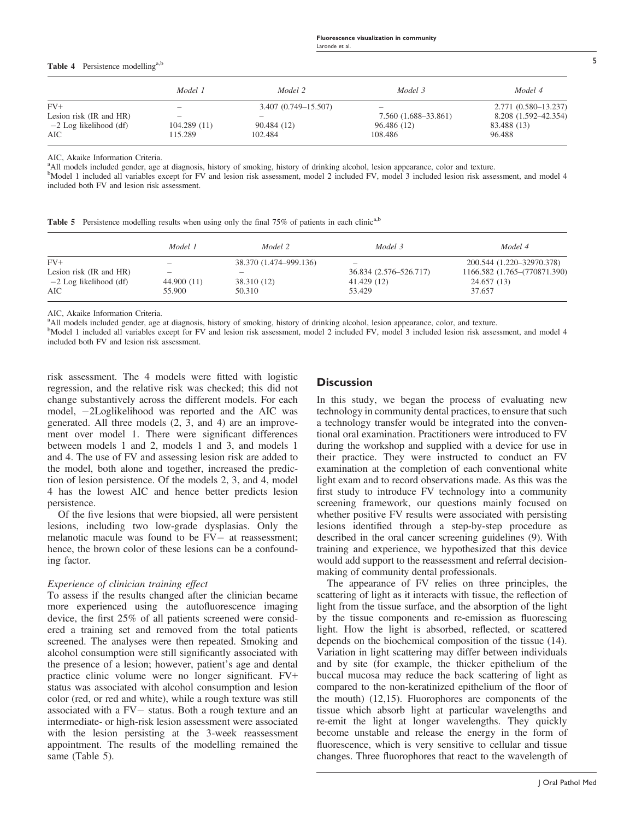#### Table 4 Persistence modelling<sup>a,b</sup>

|                          | Model 1                  | Model 2              | Model 3                  | Model 4              |
|--------------------------|--------------------------|----------------------|--------------------------|----------------------|
| $FV+$                    | $\overline{\phantom{a}}$ | 3.407 (0.749–15.507) | $\overline{\phantom{a}}$ | 2.771 (0.580–13.237) |
| Lesion risk (IR and HR)  | $\overline{\phantom{a}}$ |                      | 7.560 (1.688–33.861)     | 8.208 (1.592–42.354) |
| $-2$ Log likelihood (df) | 104.289(11)              | 90.484 (12)          | 96.486 (12)              | 83.488 (13)          |
| AIC                      | 115.289                  | 102.484              | 108.486                  | 96.488               |

AIC, Akaike Information Criteria.

<sup>a</sup>All models included gender, age at diagnosis, history of smoking, history of drinking alcohol, lesion appearance, color and texture.

<sup>b</sup>Model 1 included all variables except for FV and lesion risk assessment, model 2 included FV, model 3 included lesion risk assessment, and model 4 included both FV and lesion risk assessment.

|  | Table 5 Persistence modelling results when using only the final 75% of patients in each clinic <sup>a,b</sup> |  |  |  |  |  |  |  |  |  |  |  |  |  |
|--|---------------------------------------------------------------------------------------------------------------|--|--|--|--|--|--|--|--|--|--|--|--|--|
|--|---------------------------------------------------------------------------------------------------------------|--|--|--|--|--|--|--|--|--|--|--|--|--|

|                          | Model 1     | Model 2                | Model 3                  | Model 4                      |
|--------------------------|-------------|------------------------|--------------------------|------------------------------|
| $FV+$                    | -           | 38.370 (1.474–999.136) | $\overline{\phantom{a}}$ | 200.544 (1.220-32970.378)    |
| Lesion risk (IR and HR)  |             |                        | 36.834 (2.576–526.717)   | 1166.582 (1.765-(770871.390) |
| $-2$ Log likelihood (df) | 44.900 (11) | 38.310 (12)            | 41.429 (12)              | 24.657 (13)                  |
| AIC                      | 55.900      | 50.310                 | 53.429                   | 37.657                       |

AIC, Akaike Information Criteria.

<sup>a</sup>All models included gender, age at diagnosis, history of smoking, history of drinking alcohol, lesion appearance, color, and texture.

<sup>b</sup>Model 1 included all variables except for FV and lesion risk assessment, model 2 included FV, model 3 included lesion risk assessment, and model 4 included both FV and lesion risk assessment.

risk assessment. The 4 models were fitted with logistic regression, and the relative risk was checked; this did not change substantively across the different models. For each model, 2Loglikelihood was reported and the AIC was generated. All three models (2, 3, and 4) are an improvement over model 1. There were significant differences between models 1 and 2, models 1 and 3, and models 1 and 4. The use of FV and assessing lesion risk are added to the model, both alone and together, increased the prediction of lesion persistence. Of the models 2, 3, and 4, model 4 has the lowest AIC and hence better predicts lesion persistence.

Of the five lesions that were biopsied, all were persistent lesions, including two low-grade dysplasias. Only the melanotic macule was found to be  $FV -$  at reassessment; hence, the brown color of these lesions can be a confounding factor.

#### Experience of clinician training effect

To assess if the results changed after the clinician became more experienced using the autofluorescence imaging device, the first 25% of all patients screened were considered a training set and removed from the total patients screened. The analyses were then repeated. Smoking and alcohol consumption were still significantly associated with the presence of a lesion; however, patient's age and dental practice clinic volume were no longer significant. FV+ status was associated with alcohol consumption and lesion color (red, or red and white), while a rough texture was still associated with a  $FV -$  status. Both a rough texture and an intermediate- or high-risk lesion assessment were associated with the lesion persisting at the 3-week reassessment appointment. The results of the modelling remained the same (Table 5).

# **Discussion**

In this study, we began the process of evaluating new technology in community dental practices, to ensure that such a technology transfer would be integrated into the conventional oral examination. Practitioners were introduced to FV during the workshop and supplied with a device for use in their practice. They were instructed to conduct an FV examination at the completion of each conventional white light exam and to record observations made. As this was the first study to introduce FV technology into a community screening framework, our questions mainly focused on whether positive FV results were associated with persisting lesions identified through a step-by-step procedure as described in the oral cancer screening guidelines (9). With training and experience, we hypothesized that this device would add support to the reassessment and referral decisionmaking of community dental professionals.

The appearance of FV relies on three principles, the scattering of light as it interacts with tissue, the reflection of light from the tissue surface, and the absorption of the light by the tissue components and re-emission as fluorescing light. How the light is absorbed, reflected, or scattered depends on the biochemical composition of the tissue (14). Variation in light scattering may differ between individuals and by site (for example, the thicker epithelium of the buccal mucosa may reduce the back scattering of light as compared to the non-keratinized epithelium of the floor of the mouth) (12,15). Fluorophores are components of the tissue which absorb light at particular wavelengths and re-emit the light at longer wavelengths. They quickly become unstable and release the energy in the form of fluorescence, which is very sensitive to cellular and tissue changes. Three fluorophores that react to the wavelength of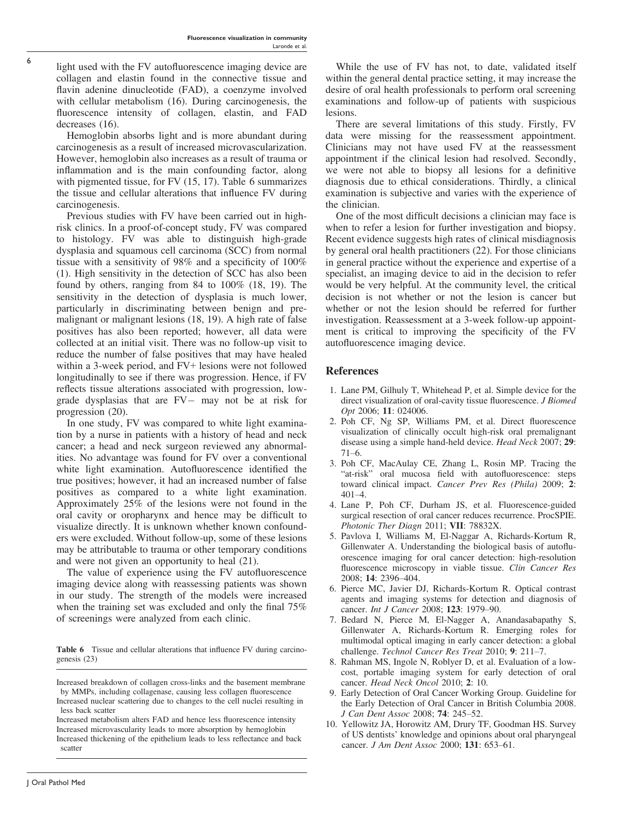light used with the FV autofluorescence imaging device are collagen and elastin found in the connective tissue and flavin adenine dinucleotide (FAD), a coenzyme involved with cellular metabolism (16). During carcinogenesis, the fluorescence intensity of collagen, elastin, and FAD decreases (16).

6

Hemoglobin absorbs light and is more abundant during carcinogenesis as a result of increased microvascularization. However, hemoglobin also increases as a result of trauma or inflammation and is the main confounding factor, along with pigmented tissue, for FV (15, 17). Table 6 summarizes the tissue and cellular alterations that influence FV during carcinogenesis.

Previous studies with FV have been carried out in highrisk clinics. In a proof-of-concept study, FV was compared to histology. FV was able to distinguish high-grade dysplasia and squamous cell carcinoma (SCC) from normal tissue with a sensitivity of 98% and a specificity of 100% (1). High sensitivity in the detection of SCC has also been found by others, ranging from 84 to 100% (18, 19). The sensitivity in the detection of dysplasia is much lower, particularly in discriminating between benign and premalignant or malignant lesions (18, 19). A high rate of false positives has also been reported; however, all data were collected at an initial visit. There was no follow-up visit to reduce the number of false positives that may have healed within a 3-week period, and FV+ lesions were not followed longitudinally to see if there was progression. Hence, if FV reflects tissue alterations associated with progression, lowgrade dysplasias that are  $FV -$  may not be at risk for progression (20).

In one study, FV was compared to white light examination by a nurse in patients with a history of head and neck cancer; a head and neck surgeon reviewed any abnormalities. No advantage was found for FV over a conventional white light examination. Autofluorescence identified the true positives; however, it had an increased number of false positives as compared to a white light examination. Approximately 25% of the lesions were not found in the oral cavity or oropharynx and hence may be difficult to visualize directly. It is unknown whether known confounders were excluded. Without follow-up, some of these lesions may be attributable to trauma or other temporary conditions and were not given an opportunity to heal (21).

The value of experience using the FV autofluorescence imaging device along with reassessing patients was shown in our study. The strength of the models were increased when the training set was excluded and only the final 75% of screenings were analyzed from each clinic.

Table 6 Tissue and cellular alterations that influence FV during carcinogenesis (23)

While the use of FV has not, to date, validated itself within the general dental practice setting, it may increase the desire of oral health professionals to perform oral screening examinations and follow-up of patients with suspicious lesions.

There are several limitations of this study. Firstly, FV data were missing for the reassessment appointment. Clinicians may not have used FV at the reassessment appointment if the clinical lesion had resolved. Secondly, we were not able to biopsy all lesions for a definitive diagnosis due to ethical considerations. Thirdly, a clinical examination is subjective and varies with the experience of the clinician.

One of the most difficult decisions a clinician may face is when to refer a lesion for further investigation and biopsy. Recent evidence suggests high rates of clinical misdiagnosis by general oral health practitioners (22). For those clinicians in general practice without the experience and expertise of a specialist, an imaging device to aid in the decision to refer would be very helpful. At the community level, the critical decision is not whether or not the lesion is cancer but whether or not the lesion should be referred for further investigation. Reassessment at a 3-week follow-up appointment is critical to improving the specificity of the FV autofluorescence imaging device.

# References

- 1. Lane PM, Gilhuly T, Whitehead P, et al. Simple device for the direct visualization of oral-cavity tissue fluorescence. J Biomed Opt 2006; 11: 024006.
- 2. Poh CF, Ng SP, Williams PM, et al. Direct fluorescence visualization of clinically occult high-risk oral premalignant disease using a simple hand-held device. Head Neck 2007; 29: 71–6.
- 3. Poh CF, MacAulay CE, Zhang L, Rosin MP. Tracing the "at-risk" oral mucosa field with autofluorescence: steps toward clinical impact. Cancer Prev Res (Phila) 2009; 2: 401–4.
- 4. Lane P, Poh CF, Durham JS, et al. Fluorescence-guided surgical resection of oral cancer reduces recurrence. ProcSPIE. Photonic Ther Diagn 2011; VII: 78832X.
- 5. Pavlova I, Williams M, El-Naggar A, Richards-Kortum R, Gillenwater A. Understanding the biological basis of autofluorescence imaging for oral cancer detection: high-resolution fluorescence microscopy in viable tissue. Clin Cancer Res 2008; 14: 2396–404.
- 6. Pierce MC, Javier DJ, Richards-Kortum R. Optical contrast agents and imaging systems for detection and diagnosis of cancer. Int J Cancer 2008; 123: 1979–90.
- 7. Bedard N, Pierce M, El-Nagger A, Anandasabapathy S, Gillenwater A, Richards-Kortum R. Emerging roles for multimodal optical imaging in early cancer detection: a global challenge. Technol Cancer Res Treat 2010; 9: 211–7.
- 8. Rahman MS, Ingole N, Roblyer D, et al. Evaluation of a lowcost, portable imaging system for early detection of oral cancer. Head Neck Oncol 2010; 2: 10.
- 9. Early Detection of Oral Cancer Working Group. Guideline for the Early Detection of Oral Cancer in British Columbia 2008. J Can Dent Assoc 2008; 74: 245–52.
- 10. Yellowitz JA, Horowitz AM, Drury TF, Goodman HS. Survey of US dentists' knowledge and opinions about oral pharyngeal cancer. J Am Dent Assoc 2000; 131: 653-61.

Increased breakdown of collagen cross-links and the basement membrane by MMPs, including collagenase, causing less collagen fluorescence Increased nuclear scattering due to changes to the cell nuclei resulting in less back scatter

Increased metabolism alters FAD and hence less fluorescence intensity Increased microvascularity leads to more absorption by hemoglobin Increased thickening of the epithelium leads to less reflectance and back scatter